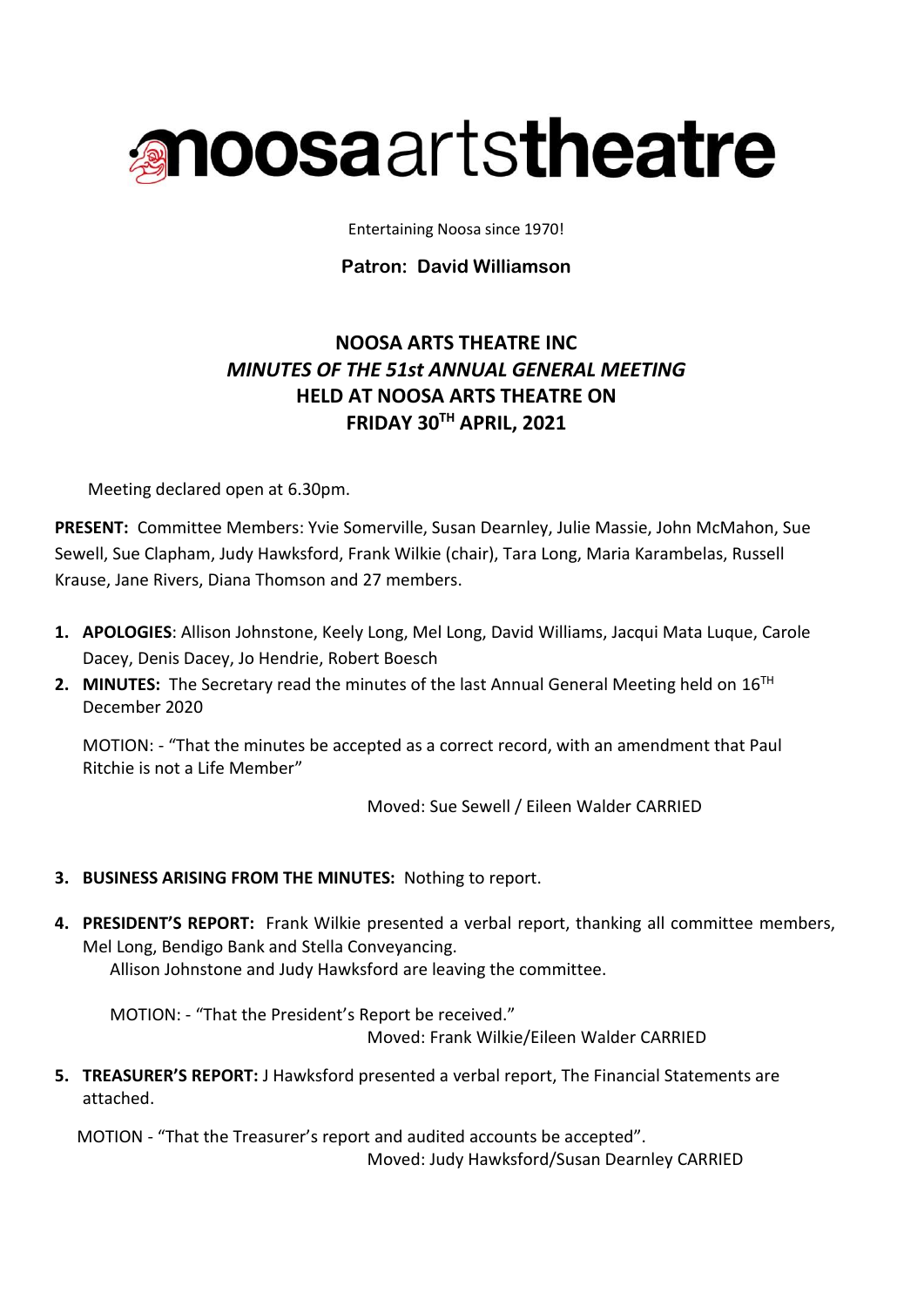

Entertaining Noosa since 1970!

## **Patron: David Williamson**

# **NOOSA ARTS THEATRE INC** *MINUTES OF THE 51st ANNUAL GENERAL MEETING* **HELD AT NOOSA ARTS THEATRE ON FRIDAY 30TH APRIL, 2021**

Meeting declared open at 6.30pm.

**PRESENT:** Committee Members: Yvie Somerville, Susan Dearnley, Julie Massie, John McMahon, Sue Sewell, Sue Clapham, Judy Hawksford, Frank Wilkie (chair), Tara Long, Maria Karambelas, Russell Krause, Jane Rivers, Diana Thomson and 27 members.

- **1. APOLOGIES**: Allison Johnstone, Keely Long, Mel Long, David Williams, Jacqui Mata Luque, Carole Dacey, Denis Dacey, Jo Hendrie, Robert Boesch
- **2. MINUTES:** The Secretary read the minutes of the last Annual General Meeting held on 16<sup>TH</sup> December 2020

MOTION: - "That the minutes be accepted as a correct record, with an amendment that Paul Ritchie is not a Life Member"

Moved: Sue Sewell / Eileen Walder CARRIED

## **3. BUSINESS ARISING FROM THE MINUTES:** Nothing to report.

**4. PRESIDENT'S REPORT:** Frank Wilkie presented a verbal report, thanking all committee members, Mel Long, Bendigo Bank and Stella Conveyancing. Allison Johnstone and Judy Hawksford are leaving the committee.

MOTION: - "That the President's Report be received." Moved: Frank Wilkie/Eileen Walder CARRIED

**5. TREASURER'S REPORT:** J Hawksford presented a verbal report, The Financial Statements are attached.

MOTION - "That the Treasurer's report and audited accounts be accepted". Moved: Judy Hawksford/Susan Dearnley CARRIED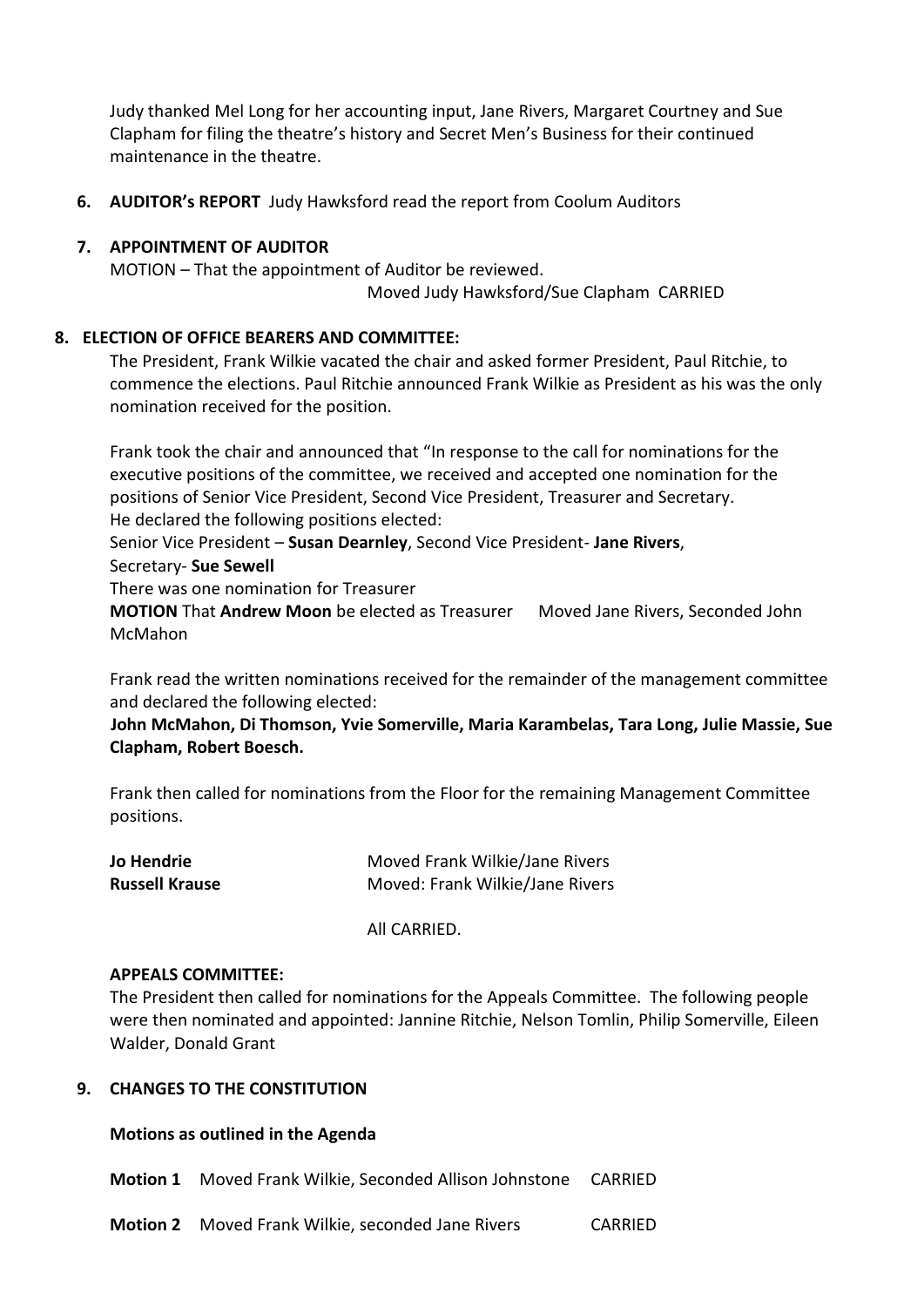Judy thanked Mel Long for her accounting input, Jane Rivers, Margaret Courtney and Sue Clapham for filing the theatre's history and Secret Men's Business for their continued maintenance in the theatre.

**6. AUDITOR's REPORT** Judy Hawksford read the report from Coolum Auditors

## **7. APPOINTMENT OF AUDITOR**

MOTION – That the appointment of Auditor be reviewed. Moved Judy Hawksford/Sue Clapham CARRIED

### **8. ELECTION OF OFFICE BEARERS AND COMMITTEE:**

The President, Frank Wilkie vacated the chair and asked former President, Paul Ritchie, to commence the elections. Paul Ritchie announced Frank Wilkie as President as his was the only nomination received for the position.

Frank took the chair and announced that "In response to the call for nominations for the executive positions of the committee, we received and accepted one nomination for the positions of Senior Vice President, Second Vice President, Treasurer and Secretary. He declared the following positions elected:

Senior Vice President – **Susan Dearnley**, Second Vice President- **Jane Rivers**,

#### Secretary- **Sue Sewell**

There was one nomination for Treasurer

**MOTION** That **Andrew Moon** be elected as Treasurer Moved Jane Rivers, Seconded John McMahon

Frank read the written nominations received for the remainder of the management committee and declared the following elected:

 **John McMahon, Di Thomson, Yvie Somerville, Maria Karambelas, Tara Long, Julie Massie, Sue Clapham, Robert Boesch.**

Frank then called for nominations from the Floor for the remaining Management Committee positions.

| Jo Hendrie            | Moved Frank Wilkie/Jane Rivers  |
|-----------------------|---------------------------------|
| <b>Russell Krause</b> | Moved: Frank Wilkie/Jane Rivers |

All CARRIED.

#### **APPEALS COMMITTEE:**

The President then called for nominations for the Appeals Committee. The following people were then nominated and appointed: Jannine Ritchie, Nelson Tomlin, Philip Somerville, Eileen Walder, Donald Grant

#### **9. CHANGES TO THE CONSTITUTION**

#### **Motions as outlined in the Agenda**

**Motion 1** Moved Frank Wilkie, Seconded Allison Johnstone CARRIED

**Motion 2** Moved Frank Wilkie, seconded Jane Rivers CARRIED